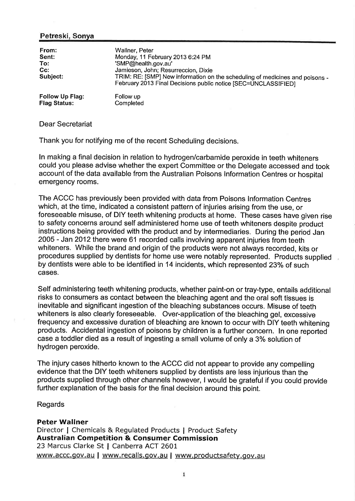## Petreski, Sonya

| From:<br>Sent:<br>To:<br>$Cc$ :<br>Subject: | Wallner, Peter<br>Monday, 11 February 2013 6:24 PM<br>'SMP@health.gov.au'<br>Jamieson, John; Resurreccion, Dixie<br>TRIM: RE: [SMP] New information on the scheduling of medicines and poisons -<br>February 2013 Final Decisions public notice [SEC=UNCLASSIFIED] |
|---------------------------------------------|--------------------------------------------------------------------------------------------------------------------------------------------------------------------------------------------------------------------------------------------------------------------|
| Follow Up Flag:                             | Follow up                                                                                                                                                                                                                                                          |
| <b>Flag Status:</b>                         | Completed                                                                                                                                                                                                                                                          |

### Dear Secretariat

Thank you for notifying me of the recent Scheduling decisions.

In making a final decision in relation to hydrogen/carbamide peroxide in teeth whiteners could you please advise whether the expert Committee or the Delegate accessed and took account of the data available from the Australian Poisons Information Centres or hospital emergency rooms.

The ACCC has previously been provided with data from Poisons Information Centres which, at the time, indicated a consistent pattern of injuries arising from the use, or foreseeable misuse, of DIY teeth whitening products at home. These cases have given rise to safety concerns around self administered home use of teeth whiteners despite product ínstructions being provided with the product and by intermediaries. During the period Jan 2005 - Jan 2012 there were 61 recorded calls involving apparent injuries from teeth whiteners. While the brand and origin of the products were not always recorded, kits or procedures supplied by dentists for home use were notably represented. Products supplied by dentists were able to be identified in 14 incidents, which represented 23% of such cases.

Self administering teeth whitening products, whether paint-on or tray-type, entails additional risks to consumers as contact between the bleaching agent and the oral soft tissues is inevitable and significant ingestion of the bleaching substances occurs. Misuse of teeth whiteners is also clearly foreseeable. Over-application of the bleaching gel, excessive frequency and excessive duration of bleaching are known to occur with DIY teeth whitening products. Accidental ingestion of poisons by children is a further concern. In one reported case a toddler died as a result of ingesting a small volume of only a3% solution of hydrogen peroxide.

The injury cases hitherto known to the ACCC did not appear to provide any compellíng evidence that the DIY teeth whiteners supplied by dentists are less injurious than the products supplied through other channels however, I would be grateful if you could provide further explanation of the basis for the final decision around this point.

### Regards

## Peter Wallner

Director I Chemicals & Regulated Products I Product Safety Australian Competition & Consumer Commission 23 Marcus Clarke St | Canberra ACT 2601 www.accc.gov.au | www.recalls.gov.au | www.productsafety.gov.au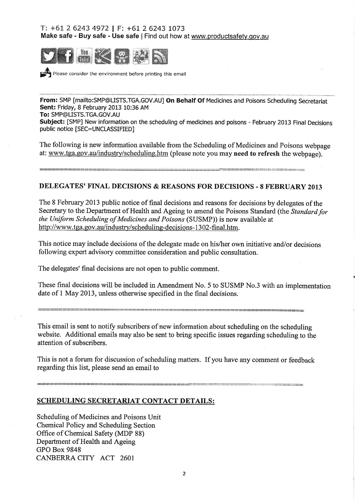# T: +61 2 6243 4972 I F: +61 2 6243 LO73 **Make safe - Buy safe - Use safe** | Find out how at <u>www.productsafety.gov.au</u>



**EXECUTE:** Please consider the environment before printing this email

From: SMP [mailto:SMP@LISTS.TGA.GOV.AU] On Behalf Of Medicines and Poisons Scheduling Secretariat Sent: Friday, B February 2013 10:36 AM To: SMP@LISTS.TGA.GOV.AU Subject: [SMP] New information on the scheduling of medicines and poisons - February 2013 Final Decisions public notice [SEC=UNCLASSIFIED]

The following is new information available from the Scheduling of Medicines and Poisons webpage at: www.tga.gov.au/industry/scheduling.htm (please note you may need to refresh the webpage).

### DELEGATES' FINAL DECISIONS & REASONS FOR DECISIONS . 8 FEBRUARY <sup>2013</sup>

The 8 February 2013 public notice of final decisions and reasons for decisions by delegates of the Secretary to the Department of Health and Ageing to amend the Poisons Standard (the Standard for the Uniform Scheduling of Medicines and Poisons (SUSMP)) is now available at http://www.tga.gov.au/industry/scheduling-decisions-1302-final.htm.

This notice may include decisions of the delegate made on his/her own initiative and/or decisions following expert advisory committee consideration and public consultation.

The delegates' final decisions are not open to public comment.

These final decisions will be included in Amendment No. 5 to SUSMP No.3 with an implementation date of 1 May 2013, unless otherwise specified in the final decisions.

This email is sent to notify subscribers of new information about scheduling on the scheduling website. Additional emails may also be sent to bring specific issues regarding scheduling to the attention of subscribers.

This is not a forum for discussion of scheduling matters. If you have any comment or feedback regarding this list, please send an email to

## SCHEDULING SECRETARIAT CONTACT DETAILS:

Scheduling of Medicines and Poisons Unit Chemical Policy and Scheduling Section Office of Chemical Safety (MDP 88) Department of Health and Ageing GPO Box 9848 CANBERRA CITY ACT 260I